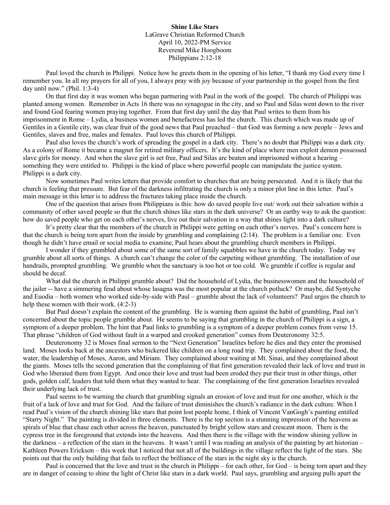**Shine Like Stars** LaGrave Christian Reformed Church April 10, 2022-PM Service Reverend Mike Hoogboom Philippians 2:12-18

Paul loved the church in Philippi. Notice how he greets them in the opening of his letter, "I thank my God every time I remember you. In all my prayers for all of you, I always pray with joy because of your partnership in the gospel from the first day until now." (Phil. 1:3-4)

On that first day it was women who began partnering with Paul in the work of the gospel. The church of Philippi was planted among women. Remember in Acts 16 there was no synagogue in the city, and so Paul and Silas went down to the river and found God fearing women praying together. From that first day until the day that Paul writes to them from his imprisonment in Rome – Lydia, a business women and benefactress has led the church. This church which was made up of Gentiles in a Gentile city, was clear fruit of the good news that Paul preached – that God was forming a new people – Jews and Gentiles, slaves and free, males and females. Paul loves this church of Philippi.

Paul also loves the church's work of spreading the gospel in a dark city. There's no doubt that Philippi was a dark city. As a colony of Rome it became a magnet for retired military officers. It's the kind of place where men exploit demon possessed slave girls for money. And when the slave girl is set free, Paul and Silas are beaten and imprisoned without a hearing – something they were entitled to. Philippi is the kind of place where powerful people can manipulate the justice system. Philippi is a dark city.

Now sometimes Paul writes letters that provide comfort to churches that are being persecuted. And it is likely that the church is feeling that pressure. But fear of the darkness infiltrating the church is only a minor plot line in this letter. Paul's main message in this letter is to address the fractures taking place inside the church.

One of the question that arises from Philippians is this: how do saved people live out/ work out their salvation within a community of other saved people so that the church shines like stars in the dark universe? Or an earthy way to ask the question: how do saved people who get on each other's nerves, live out their salvation in a way that shines light into a dark culture?

It's pretty clear that the members of the church in Philippi were getting on each other's nerves. Paul's concern here is that the church is being torn apart from the inside by grumbling and complaining (2:14). The problem is a familiar one. Even though he didn't have email or social media to examine, Paul hears about the grumbling church members in Philippi.

I wonder if they grumbled about some of the same sort of family squabbles we have in the church today. Today we grumble about all sorts of things. A church can't change the color of the carpeting without grumbling. The installation of our handrails, prompted grumbling. We grumble when the sanctuary is too hot or too cold. We grumble if coffee is regular and should be decaf.

What did the church in Philippi grumble about? Did the household of Lydia, the businesswomen and the household of the jailer -- have a simmering feud about whose lasagna was the most popular at the church potluck? Or maybe, did Syntyche and Euodia – both women who worked side-by-side with Paul – grumble about the lack of volunteers? Paul urges the church to help these women with their work. (4:2-3)

But Paul doesn't explain the content of the grumbling. He is warning them against the habit of grumbling, Paul isn't concerned about the topic people grumble about. He seems to be saying that grumbling in the church of Philippi is a sign, a symptom of a deeper problem. The hint that Paul links to grumbling is a symptom of a deeper problem comes from verse 15. That phrase "children of God without fault in a warped and crooked generation" comes from Deuteronomy 32:5.

Deuteronomy 32 is Moses final sermon to the "Next Generation" Israelites before he dies and they enter the promised land. Moses looks back at the ancestors who bickered like children on a long road trip. They complained about the food, the water, the leadership of Moses, Aaron, and Miriam. They complained about waiting at Mt. Sinai, and they complained about the giants. Moses tells the second generation that the complaining of that first generation revealed their lack of love and trust in God who liberated them from Egypt. And once their love and trust had been eroded they put their trust in other things, other gods, golden calf, leaders that told them what they wanted to hear. The complaining of the first generation Israelites revealed their underlying lack of trust.

Paul seems to be warning the church that grumbling signals an erosion of love and trust for one another, which is the fruit of a lack of love and trust for God. And the failure of trust diminishes the church's radiance in the dark culture. When I read Paul's vision of the church shining like stars that point lost people home, I think of Vincent VanGogh's painting entitled "Starry Night." The painting is divided in three elements. There is the top section is a stunning impression of the heavens as spirals of blue that chase each other across the heaven, punctuated by bright yellow stars and crescent moon. There is the cypress tree in the foreground that extends into the heavens. And then there is the village with the window shining yellow in the darkness – a reflection of the stars in the heavens. It wasn't until I was reading an analysis of the painting by art historian – Kathleen Powers Erickson – this week that I noticed that not all of the buildings in the village reflect the light of the stars. She points out that the only building that fails to reflect the brilliance of the stars in the night sky is the church.

Paul is concerned that the love and trust in the church in Philippi – for each other, for God – is being torn apart and they are in danger of ceasing to shine the light of Christ like stars in a dark world. Paul says, grumbling and arguing pulls apart the